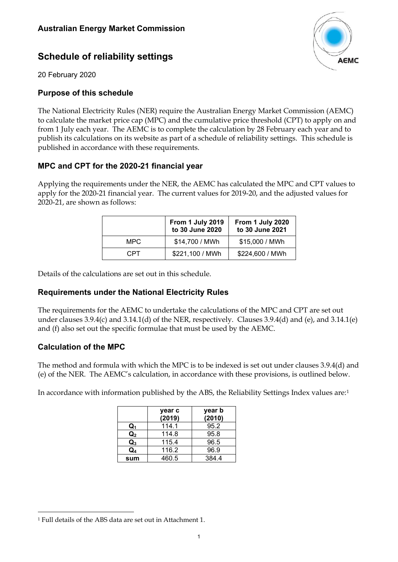# **AEMC**

# **Schedule of reliability settings**

20 February 2020

## **Purpose of this schedule**

The National Electricity Rules (NER) require the Australian Energy Market Commission (AEMC) to calculate the market price cap (MPC) and the cumulative price threshold (CPT) to apply on and from 1 July each year. The AEMC is to complete the calculation by 28 February each year and to publish its calculations on its website as part of a schedule of reliability settings. This schedule is published in accordance with these requirements.

### **MPC and CPT for the 2020-21 financial year**

Applying the requirements under the NER, the AEMC has calculated the MPC and CPT values to apply for the 2020-21 financial year. The current values for 2019-20, and the adjusted values for 2020-21, are shown as follows:

|      | From 1 July 2019<br>to 30 June 2020 | From 1 July 2020<br>to 30 June 2021 |  |  |
|------|-------------------------------------|-------------------------------------|--|--|
| MPC. | \$14,700 / MWh                      | \$15,000 / MWh                      |  |  |
| CPT. | \$221,100 / MWh                     | \$224,600 / MWh                     |  |  |

Details of the calculations are set out in this schedule.

### **Requirements under the National Electricity Rules**

The requirements for the AEMC to undertake the calculations of the MPC and CPT are set out under clauses 3.9.4(c) and 3.14.1(d) of the NER, respectively. Clauses 3.9.4(d) and (e), and 3.14.1(e) and (f) also set out the specific formulae that must be used by the AEMC.

### **Calculation of the MPC**

The method and formula with which the MPC is to be indexed is set out under clauses 3.9.4(d) and (e) of the NER. The AEMC's calculation, in accordance with these provisions, is outlined below.

In accordance with information published by the ABS, the Reliability Settings Index values are:[1](#page-0-0)

|                | year c<br>(2019) | year b<br>(2010) |
|----------------|------------------|------------------|
| Q1             | 114.1            | 95.2             |
| $\mathsf{Q}_2$ | 114.8            | 95.8             |
| $\mathsf{Q}_3$ | 115.4            | 96.5             |
| Q,             | 116.2            | 96.9             |
| sum            | 460.5            | 384.4            |

<span id="page-0-0"></span><sup>1</sup> Full details of the ABS data are set out in Attachment 1.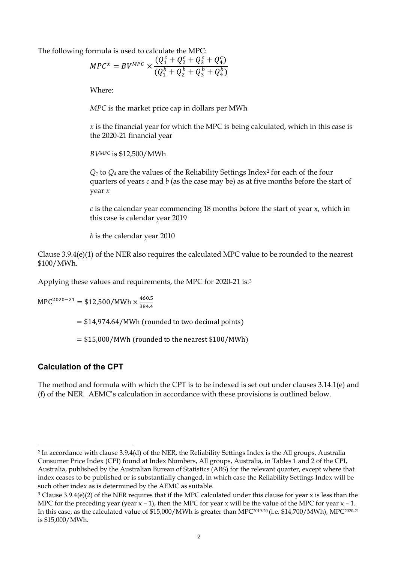The following formula is used to calculate the MPC:

$$
MPC^{x} = BV^{MPC} \times \frac{(Q_1^c + Q_2^c + Q_3^c + Q_4^c)}{(Q_1^b + Q_2^b + Q_3^b + Q_4^b)}
$$

Where:

*MPC* is the market price cap in dollars per MWh

*x* is the financial year for which the MPC is being calculated, which in this case is the 2020-21 financial year

*BVMPC* is \$12,500/MWh

*Q1* to *Q4* are the values of the Reliability Settings Index[2](#page-1-0) for each of the four quarters of years *c* and *b* (as the case may be) as at five months before the start of year *x*

*c* is the calendar year commencing 18 months before the start of year x, which in this case is calendar year 2019

*b* is the calendar year 2010

Clause 3.9.4(e)(1) of the NER also requires the calculated MPC value to be rounded to the nearest \$100/MWh.

Applying these values and requirements, the MPC for 2020-21 is:[3](#page-1-1)

MPC<sup>2020–21</sup> = \$12,500/MWh  $\times \frac{460.5}{384.4}$ 384.4

 $= $14,974.64/MWh$  (rounded to two decimal points)

 $= $15,000/MWh$  (rounded to the nearest \$100/MWh)

### **Calculation of the CPT**

The method and formula with which the CPT is to be indexed is set out under clauses 3.14.1(e) and (f) of the NER. AEMC's calculation in accordance with these provisions is outlined below.

<span id="page-1-0"></span><sup>2</sup> In accordance with clause 3.9.4(d) of the NER, the Reliability Settings Index is the All groups, Australia Consumer Price Index (CPI) found at Index Numbers, All groups, Australia, in Tables 1 and 2 of the CPI, Australia, published by the Australian Bureau of Statistics (ABS) for the relevant quarter, except where that index ceases to be published or is substantially changed, in which case the Reliability Settings Index will be such other index as is determined by the AEMC as suitable.

<span id="page-1-1"></span> $3$  Clause 3.9.4(e)(2) of the NER requires that if the MPC calculated under this clause for year x is less than the MPC for the preceding year (year  $x - 1$ ), then the MPC for year x will be the value of the MPC for year  $x - 1$ . In this case, as the calculated value of \$15,000/MWh is greater than MPC2019-20 (i.e. \$14,700/MWh), MPC2020-21 is \$15,000/MWh.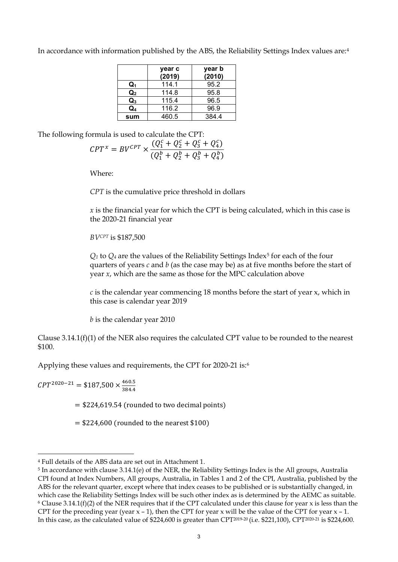In accordance with information published by the ABS, the Reliability Settings Index values are:[4](#page-2-0)

|                | year c<br>(2019) | year b<br>(2010) |
|----------------|------------------|------------------|
| Q.             | 114.1            | 95.2             |
| $\mathsf{Q}_2$ | 114.8            | 95.8             |
| $\mathsf{Q}_3$ | 115.4            | 96.5             |
| Q4             | 116.2            | 96.9             |
| sum            | 460.5            | 384.4            |

The following formula is used to calculate the CPT:

$$
CPT^{x} = BV^{CPT} \times \frac{(Q_1^c + Q_2^c + Q_3^c + Q_4^c)}{(Q_1^b + Q_2^b + Q_3^b + Q_4^b)}
$$

Where:

*CPT* is the cumulative price threshold in dollars

*x* is the financial year for which the CPT is being calculated, which in this case is the 2020-21 financial year

*BVCPT* is \$187,500

 $Q_1$  to  $Q_4$  are the values of the Reliability Settings Index<sup>[5](#page-2-1)</sup> for each of the four quarters of years *c* and *b* (as the case may be) as at five months before the start of year *x*, which are the same as those for the MPC calculation above

*c* is the calendar year commencing 18 months before the start of year x, which in this case is calendar year 2019

*b* is the calendar year 2010

Clause 3.14.1(f)(1) of the NER also requires the calculated CPT value to be rounded to the nearest \$100.

Applying these values and requirements, the CPT for 2020-21 is:[6](#page-2-2)

 $T^{2020-21}$  = \$187,500  $\times \frac{460.5}{384.4}$ 384.4

 $=$  \$224,619.54 (rounded to two decimal points)

 $=$  \$224,600 (rounded to the nearest \$100)

<span id="page-2-0"></span><sup>4</sup> Full details of the ABS data are set out in Attachment 1.

<span id="page-2-2"></span><span id="page-2-1"></span><sup>5</sup> In accordance with clause 3.14.1(e) of the NER, the Reliability Settings Index is the All groups, Australia CPI found at Index Numbers, All groups, Australia, in Tables 1 and 2 of the CPI, Australia, published by the ABS for the relevant quarter, except where that index ceases to be published or is substantially changed, in which case the Reliability Settings Index will be such other index as is determined by the AEMC as suitable.  $6$  Clause 3.14.1(f)(2) of the NER requires that if the CPT calculated under this clause for year x is less than the CPT for the preceding year (year  $x - 1$ ), then the CPT for year x will be the value of the CPT for year  $x - 1$ . In this case, as the calculated value of \$224,600 is greater than CPT2019-20 (i.e. \$221,100), CPT2020-21 is \$224,600.